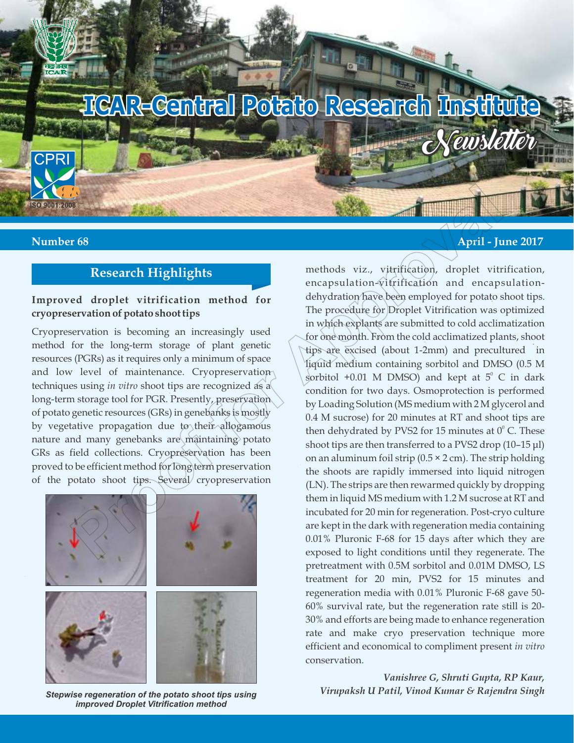

# **Research Highlights**

## **Improved droplet vitrification method for cryopreservation of potato shoot tips**

Cryopreservation is becoming an increasingly used method for the long-term storage of plant genetic resources (PGRs) as it requires only a minimum of space and low level of maintenance. Cryopreservation techniques using *in vitro* shoot tips are recognized as a long-term storage tool for PGR. Presently, preservation of potato genetic resources (GRs) in genebanks is mostly by vegetative propagation due to their allogamous nature and many genebanks are maintaining potato GRs as field collections. Cryopreservation has been proved to be efficient method for long term preservation of the potato shoot tips. Several cryopreservation



*Stepwise regeneration of the potato shoot tips using improved Droplet Vitrification method*

## **Number 68 April - June 2017 April - June 2017**

methods viz., vitrification, droplet vitrification, encapsulation-vitrification and encapsulationdehydration have been employed for potato shoot tips. The procedure for Droplet Vitrification was optimized in which explants are submitted to cold acclimatization for one month. From the cold acclimatized plants, shoot tips are excised (about 1-2mm) and precultured in liquid medium containing sorbitol and DMSO (0.5 M sorbitol +0.01 M DMSO) and kept at  $5^{\circ}$  C in dark condition for two days. Osmoprotection is performed by Loading Solution (MS medium with 2 M glycerol and 0.4 M sucrose) for 20 minutes at RT and shoot tips are then dehydrated by PVS2 for 15 minutes at  $0^{\circ}$  C. These shoot tips are then transferred to a PVS2 drop (10–15 μl) on an aluminum foil strip  $(0.5 \times 2 \text{ cm})$ . The strip holding the shoots are rapidly immersed into liquid nitrogen (LN). The strips are then rewarmed quickly by dropping them in liquid MS medium with 1.2 M sucrose at RT and incubated for 20 min for regeneration. Post-cryo culture are kept in the dark with regeneration media containing 0.01% Pluronic F-68 for 15 days after which they are exposed to light conditions until they regenerate. The pretreatment with 0.5M sorbitol and 0.01M DMSO, LS treatment for 20 min, PVS2 for 15 minutes and regeneration media with 0.01% Pluronic F-68 gave 50- 60% survival rate, but the regeneration rate still is 20- 30% and efforts are being made to enhance regeneration rate and make cryo preservation technique more efficient and economical to compliment present *in vitro*  conservation. **Proof**<br> **Proof**<br> **Proof**<br> **Proof**<br> **Proof**<br> **Proof**<br> **Proof**<br> **Proof**<br> **Proof**<br> **Proof**<br> **Proof**<br> **Proof**<br> **Proof**<br> **Proof**<br> **Proof**<br> **Proof**<br> **Proof**<br> **Proof**<br> **Proof**<br> **Proof**<br> **Proof**<br> **Proof**<br> **Proof**<br> **Proof**<br> **Proo** 

> *Vanishree G, Shruti Gupta, RP Kaur, Virupaksh U Patil, Vinod Kumar & Rajendra Singh*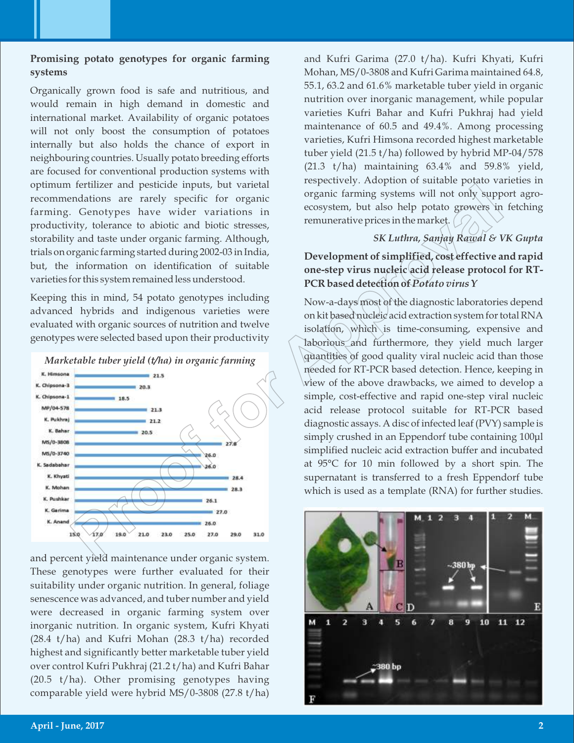## **Promising potato genotypes for organic farming systems**

Organically grown food is safe and nutritious, and would remain in high demand in domestic and international market. Availability of organic potatoes will not only boost the consumption of potatoes internally but also holds the chance of export in neighbouring countries. Usually potato breeding efforts are focused for conventional production systems with optimum fertilizer and pesticide inputs, but varietal recommendations are rarely specific for organic farming. Genotypes have wider variations in productivity, tolerance to abiotic and biotic stresses, storability and taste under organic farming. Although, trials on organic farming started during 2002-03 in India, but, the information on identification of suitable varieties for this system remained less understood.

Keeping this in mind, 54 potato genotypes including advanced hybrids and indigenous varieties were evaluated with organic sources of nutrition and twelve genotypes were selected based upon their productivity





and percent yield maintenance under organic system. These genotypes were further evaluated for their suitability under organic nutrition. In general, foliage senescence was advanced, and tuber number and yield were decreased in organic farming system over inorganic nutrition. In organic system, Kufri Khyati (28.4 t/ha) and Kufri Mohan (28.3 t/ha) recorded highest and significantly better marketable tuber yield over control Kufri Pukhraj (21.2 t/ha) and Kufri Bahar (20.5 t/ha). Other promising genotypes having comparable yield were hybrid MS/0-3808 (27.8 t/ha) and Kufri Garima (27.0 t/ha). Kufri Khyati, Kufri Mohan, MS/0-3808 and Kufri Garima maintained 64.8, 55.1, 63.2 and 61.6% marketable tuber yield in organic nutrition over inorganic management, while popular varieties Kufri Bahar and Kufri Pukhraj had yield maintenance of 60.5 and 49.4%. Among processing varieties, Kufri Himsona recorded highest marketable tuber yield (21.5 t/ha) followed by hybrid MP-04/578  $(21.3 \t t/ha)$  maintaining  $63.4\%$  and  $59.8\%$  yield, respectively. Adoption of suitable potato varieties in organic farming systems will not only support agroecosystem, but also help potato growers in fetching remunerative prices in the market.

#### *SK Luthra, Sanjay Rawal & VK Gupta*

**Development of simplified, cost effective and rapid one-step virus nucleic acid release protocol for RT-PCR based detection of** *Potato virus Y*

Now-a-days most of the diagnostic laboratories depend on kit based nucleic acid extraction system for total RNA isolation, which is time-consuming, expensive and laborious and furthermore, they yield much larger quantities of good quality viral nucleic acid than those needed for RT-PCR based detection. Hence, keeping in view of the above drawbacks, we aimed to develop a simple, cost-effective and rapid one-step viral nucleic acid release protocol suitable for RT-PCR based diagnostic assays. A disc of infected leaf (PVY) sample is simply crushed in an Eppendorf tube containing 100μl simplified nucleic acid extraction buffer and incubated at 95°C for 10 min followed by a short spin. The supernatant is transferred to a fresh Eppendorf tube which is used as a template (RNA) for further studies. Market able to the stock in the bigged in the stock in the stock in the stock in the stock in the stock of the stock of the stock of the stock of the stock of the stock of the stock of the stock of the stock of the stock

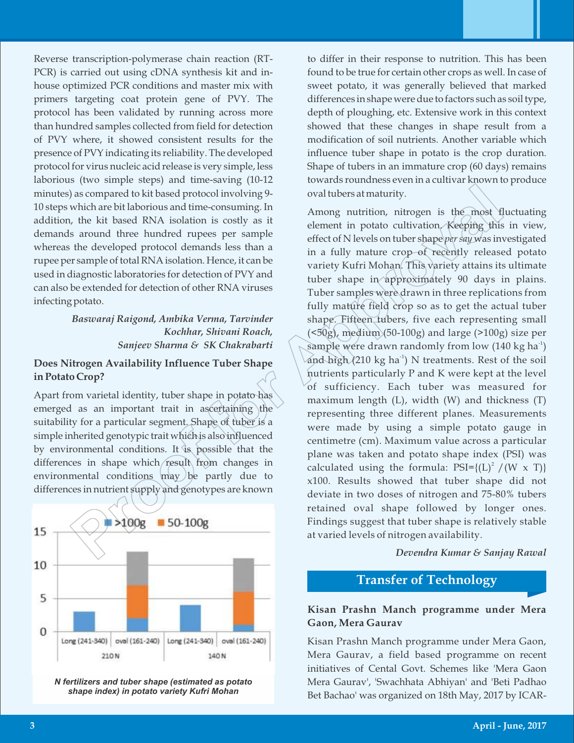Reverse transcription-polymerase chain reaction (RT-PCR) is carried out using cDNA synthesis kit and inhouse optimized PCR conditions and master mix with primers targeting coat protein gene of PVY. The protocol has been validated by running across more than hundred samples collected from field for detection of PVY where, it showed consistent results for the presence of PVY indicating its reliability. The developed protocol for virus nucleic acid release is very simple, less laborious (two simple steps) and time-saving (10-12 minutes) as compared to kit based protocol involving 9- 10 steps which are bit laborious and time-consuming. In addition, the kit based RNA isolation is costly as it demands around three hundred rupees per sample whereas the developed protocol demands less than a rupee per sample of total RNA isolation. Hence, it can be used in diagnostic laboratories for detection of PVY and can also be extended for detection of other RNA viruses infecting potato.

#### *Baswaraj Raigond, Ambika Verma, Tarvinder Kochhar, Shivani Roach, Sanjeev Sharma & SK Chakrabarti*

#### **Does Nitrogen Availability Influence Tuber Shape in Potato Crop?**

Apart from varietal identity, tuber shape in potato has emerged as an important trait in ascertaining the suitability for a particular segment. Shape of tuber is a simple inherited genotypic trait which is also influenced by environmental conditions. It is possible that the differences in shape which/result from changes in environmental conditions may be partly due to differences in nutrient supply and genotypes are known



*N fertilizers and tuber shape (estimated as potato shape index) in potato variety Kufri Mohan*

to differ in their response to nutrition. This has been found to be true for certain other crops as well. In case of sweet potato, it was generally believed that marked differences in shape were due to factors such as soil type, depth of ploughing, etc. Extensive work in this context showed that these changes in shape result from a modification of soil nutrients. Another variable which influence tuber shape in potato is the crop duration. Shape of tubers in an immature crop (60 days) remains towards roundness even in a cultivar known to produce oval tubers at maturity.

Among nutrition, nitrogen is the most fluctuating element in potato cultivation. Keeping this in view, effect of N levels on tuber shape *per say* was investigated in a fully mature crop of recently released potato variety Kufri Mohan. This variety attains its ultimate tuber shape in approximately 90 days in plains. Tuber samples were drawn in three replications from fully mature field crop so as to get the actual tuber shape. Fifteen tubers, five each representing small  $(50g)$ , medium $(50-100g)$  and large  $(>100g)$  size per sample were drawn randomly from low (140 kg ha $\mathrm{^{4}}$ ) and high (210 kg ha $^{\text{-}1}$ ) N treatments. Rest of the soil nutrients particularly P and K were kept at the level of sufficiency. Each tuber was measured for maximum length (L), width (W) and thickness (T) representing three different planes. Measurements were made by using a simple potato gauge in centimetre (cm). Maximum value across a particular plane was taken and potato shape index (PSI) was calculated using the formula:  $\text{PSI} = \{(\text{L})^2 \text{ / } (\text{W} \times \text{T})\}$ x100. Results showed that tuber shape did not deviate in two doses of nitrogen and 75-80% tubers retained oval shape followed by longer ones. Findings suggest that tuber shape is relatively stable at varied levels of nitrogen availability. For a compared to kit based protocol involving 9 coult<br>there is that compared to kit based protocol involving 9 coult<br>there is the most due of the most due of the most due of the most due to<br>the kit based RNA isolation is

*Devendra Kumar & Sanjay Rawal*

# **Transfer of Technology**

## **Kisan Prashn Manch programme under Mera Gaon, Mera Gaurav**

Kisan Prashn Manch programme under Mera Gaon, Mera Gaurav, a field based programme on recent initiatives of Cental Govt. Schemes like 'Mera Gaon Mera Gaurav', 'Swachhata Abhiyan' and 'Beti Padhao Bet Bachao' was organized on 18th May, 2017 by ICAR-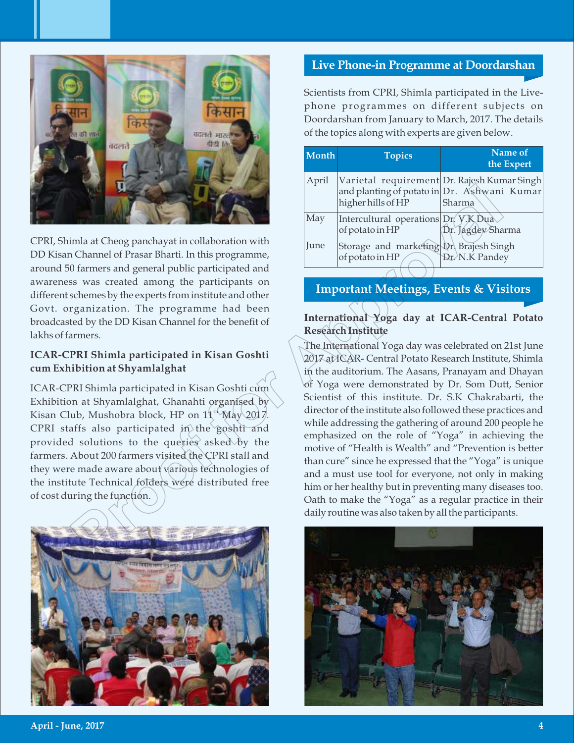

CPRI, Shimla at Cheog panchayat in collaboration with DD Kisan Channel of Prasar Bharti. In this programme, around 50 farmers and general public participated and awareness was created among the participants on different schemes by the experts from institute and other Govt. organization. The programme had been broadcasted by the DD Kisan Channel for the benefit of lakhs of farmers.

## **ICAR-CPRI Shimla participated in Kisan Goshti cum Exhibition at Shyamlalghat**

ICAR-CPRI Shimla participated in Kisan Goshti cum Exhibition at Shyamlalghat, Ghanahti organised by Kisan Club, Mushobra block, HP on  $11<sup>th</sup>$  May 2017. CPRI staffs also participated in the goshti and provided solutions to the queries asked by the farmers. About 200 farmers visited the CPRI stall and they were made aware about various technologies of the institute Technical folders were distributed free of cost during the function.



## **Live Phone-in Programme at Doordarshan**

Scientists from CPRI, Shimla participated in the Livephone programmes on different subjects on Doordarshan from January to March, 2017. The details of the topics along with experts are given below.

| <b>Month</b> | <b>Topics</b>                                                                                                    | Name of<br>the Expert |
|--------------|------------------------------------------------------------------------------------------------------------------|-----------------------|
| April        | Varietal requirement Dr. Rajesh Kumar Singh<br>and planting of potato in Dr. Ashwani Kumar<br>higher hills of HP | Sharma                |
| May          | Intercultural operations Dr. V.K Dua<br>of potato in HP                                                          | Dr. Jagdey Sharma     |
| June         | Storage and marketing Dr. Brajesh Singh<br>of potato in HP                                                       | Dr. N.K Pandey        |
|              |                                                                                                                  |                       |

**Important Meetings, Events & Visitors**

## **International Yoga day at ICAR-Central Potato Research Institute**

The International Yoga day was celebrated on 21st June 2017 at ICAR- Central Potato Research Institute, Shimla in the auditorium. The Aasans, Pranayam and Dhayan of Yoga were demonstrated by Dr. Som Dutt, Senior Scientist of this institute. Dr. S.K Chakrabarti, the director of the institute also followed these practices and while addressing the gathering of around 200 people he emphasized on the role of "Yoga" in achieving the motive of "Health is Wealth" and "Prevention is better than cure" since he expressed that the "Yoga" is unique and a must use tool for everyone, not only in making him or her healthy but in preventing many diseases too. Oath to make the "Yoga" as a regular practice in their and planting of postatoin Dr. Ashwani Kindoothing and planting of postatoin Dr. Ashwani Kindoothin Highlare hills programme had been control of principal of position at  $\sim 0.000$  (Fig. 1963) and Channel for Approximation

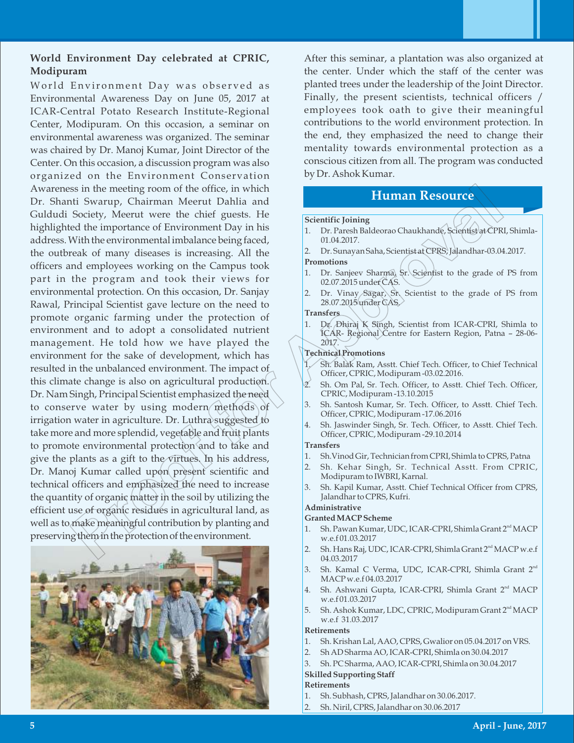## **World Environment Day celebrated at CPRIC, Modipuram**

World Environment Day was observed as Environmental Awareness Day on June 05, 2017 at ICAR-Central Potato Research Institute-Regional Center, Modipuram. On this occasion, a seminar on environmental awareness was organized. The seminar was chaired by Dr. Manoj Kumar, Joint Director of the Center. On this occasion, a discussion program was also organized on the Environment Conservation Awareness in the meeting room of the office, in which Dr. Shanti Swarup, Chairman Meerut Dahlia and Guldudi Society, Meerut were the chief guests. He highlighted the importance of Environment Day in his address. With the environmental imbalance being faced, the outbreak of many diseases is increasing. All the officers and employees working on the Campus took part in the program and took their views for environmental protection. On this occasion, Dr. Sanjay Rawal, Principal Scientist gave lecture on the need to promote organic farming under the protection of environment and to adopt a consolidated nutrient management. He told how we have played the environment for the sake of development, which has resulted in the unbalanced environment. The impact of this climate change is also on agricultural production. Dr. Nam Singh, Principal Scientist emphasized the need to conserve water by using modern methods of irrigation water in agriculture. Dr. Luthra suggested to take more and more splendid, vegetable and fruit plants to promote environmental protection and to take and give the plants as a gift to the virtues. In his address, Dr. Manoj Kumar called upon present scientific and technical officers and emphasized the need to increase the quantity of organic matter in the soil by utilizing the efficient use of organic residues in agricultural land, as well as to make meaningful contribution by planting and preserving them in the protection of the environment. is in the medity room of the office, in which is a proof the origin computed the importance being the application of the interest of a matter of the special of the matter of the matter of the matter of the matter of the m



After this seminar, a plantation was also organized at the center. Under which the staff of the center was planted trees under the leadership of the Joint Director. Finally, the present scientists, technical officers / employees took oath to give their meaningful contributions to the world environment protection. In the end, they emphasized the need to change their mentality towards environmental protection as a conscious citizen from all. The program was conducted by Dr. Ashok Kumar.

# **Human Resource**

#### **Scientific Joining**

- 1. Dr. Paresh Baldeorao Chaukhande, Scientist at CPRI, Shimla-01.04.2017.
- 2. Dr. Sunayan Saha, Scientist at CPRS, Jalandhar-03.04.2017.

#### **Promotions**

- 1. Dr. Sanjeev Sharma, Sr. Scientist to the grade of PS from 02.07.2015 under CAS.
- 2. Dr. Vinay Sagar, Sr. Scientist to the grade of PS from 28.07.2015 under CAS.

#### **Transfers**

1. Dr. Dhiraj K Singh, Scientist from ICAR-CPRI, Shimla to ICAR- Regional Centre for Eastern Region, Patna – 28-06- 2017.

#### **Technical Promotions**

- 1. Sh. Balak Ram, Asstt. Chief Tech. Officer, to Chief Technical Officer, CPRIC, Modipuram -03.02.2016.
- 2. Sh. Om Pal, Sr. Tech. Officer, to Asstt. Chief Tech. Officer, CPRIC, Modipuram -13.10.2015
- 3. Sh. Santosh Kumar, Sr. Tech. Officer, to Asstt. Chief Tech. Officer, CPRIC, Modipuram -17.06.2016
- 4. Sh. Jaswinder Singh, Sr. Tech. Officer, to Asstt. Chief Tech. Officer, CPRIC, Modipuram -29.10.2014

#### **Transfers**

- 1. Sh.Vinod Gir, Technician from CPRI, Shimla to CPRS, Patna
- 2. Sh. Kehar Singh, Sr. Technical Asstt. From CPRIC, Modipuram to IWBRI, Karnal.
- 3. Sh. Kapil Kumar, Asstt. Chief Technical Officer from CPRS, Jalandhar to CPRS, Kufri.

#### **Administrative**

#### **Granted MACP Scheme**

- 1. Sh. Pawan Kumar, UDC, ICAR-CPRI, Shimla Grant 2<sup>nd</sup> MACP w.e.f 01.03.2017
- 2. Sh. Hans Raj, UDC, ICAR-CPRI, Shimla Grant 2<sup>nd</sup> MACP w.e.f 04.03.2017
- 3. Sh. Kamal C Verma, UDC, ICAR-CPRI, Shimla Grant 2<sup>nd</sup> MACP w.e.f 04.03.2017
- 4. Sh. Ashwani Gupta, ICAR-CPRI, Shimla Grant 2<sup>nd</sup> MACP w.e.f 01.03.2017
- 5. Sh. Ashok Kumar, LDC, CPRIC, Modipuram Grant 2<sup>nd</sup> MACP w.e.f 31.03.2017

#### **Retirements**

- 1. Sh. Krishan Lal, AAO, CPRS, Gwalior on 05.04.2017 on VRS.
- 2. Sh AD Sharma AO, ICAR-CPRI, Shimla on 30.04.2017
- 3. Sh. PC Sharma, AAO, ICAR-CPRI, Shimla on 30.04.2017

## **Skilled Supporting Staff**

- **Retirements**
- 1. Sh. Subhash, CPRS, Jalandhar on 30.06.2017.
- 2. Sh. Niril, CPRS, Jalandhar on 30.06.2017